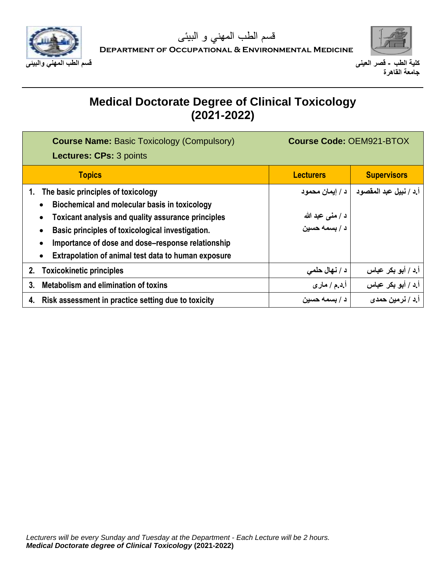



| <b>Course Name: Basic Toxicology (Compulsory)</b><br><b>Lectures: CPs: 3 points</b> | <b>Course Code: OEM921-BTOX</b>   |                          |
|-------------------------------------------------------------------------------------|-----------------------------------|--------------------------|
| <b>Topics</b>                                                                       | <b>Lecturers</b>                  | <b>Supervisors</b>       |
| The basic principles of toxicology                                                  | د / اِيمان محمود                  | أ.د / نبيل عبد المقصود   |
| Biochemical and molecular basis in toxicology                                       |                                   |                          |
| Toxicant analysis and quality assurance principles                                  | د / منی عبد الله<br>د / بسمه حسین |                          |
| Basic principles of toxicological investigation.                                    |                                   |                          |
| Importance of dose and dose–response relationship                                   |                                   |                          |
| Extrapolation of animal test data to human exposure                                 |                                   |                          |
| <b>Toxicokinetic principles</b><br>2.                                               | د / نهال حلمي                     | أ د / أبو بكر عباس       |
| Metabolism and elimination of toxins<br>$3_{-}$                                     | أ.د.م / مار ي                     | أ.د / أبو بكر عباس       |
| Risk assessment in practice setting due to toxicity                                 | د / بسمه حسين                     | أ.د / نرمين حمد <i>ى</i> |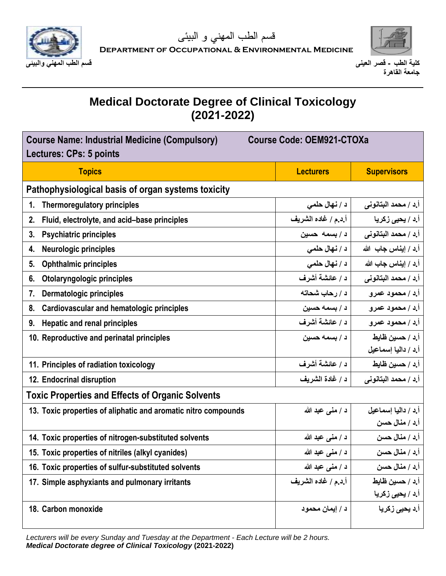



### **Medical Doctorate Degree of Clinical Toxicology (2021-2022)**

| <b>Course Name: Industrial Medicine (Compulsory)</b><br><b>Course Code: OEM921-CTOXa</b><br>Lectures: CPs: 5 points |                     |                                     |  |
|---------------------------------------------------------------------------------------------------------------------|---------------------|-------------------------------------|--|
| <b>Topics</b>                                                                                                       | <b>Lecturers</b>    | <b>Supervisors</b>                  |  |
| Pathophysiological basis of organ systems toxicity                                                                  |                     |                                     |  |
| Thermoregulatory principles<br>1.                                                                                   | د / نهال حلمي       | أ.د / محمد البتانوني                |  |
| Fluid, electrolyte, and acid-base principles<br>2.                                                                  | أ.د.م / غاده الشريف | اً.د / <b>یحی<sub>ی</sub> زکریا</b> |  |
| <b>Psychiatric principles</b><br>3.                                                                                 | د/بسمه حسين         | أ.د / محمد البتانوني                |  |
| <b>Neurologic principles</b><br>4.                                                                                  | د / نهال حلمي       | أ.د / إيناس جاب الله                |  |
| <b>Ophthalmic principles</b><br>5.                                                                                  | د / نهال حلمي       | أ.د / إيناس جاب الله                |  |
| Otolaryngologic principles<br>6.                                                                                    | د / عائشة أشرف      | أ.د / محمد البتانوني                |  |
| Dermatologic principles<br>7.                                                                                       | د / رحاب شحاته      | أ.د / محمود عمرو                    |  |
| 8. Cardiovascular and hematologic principles                                                                        | د / بسمه حسين       | أ.د / محمود عمرو                    |  |
| <b>Hepatic and renal principles</b><br>9.                                                                           | د / عائشة أشرف      | أ.د / محمود عمرو                    |  |
| 10. Reproductive and perinatal principles                                                                           | د / بسمه حسين       | أ.د / حسين ظايط                     |  |
|                                                                                                                     |                     | أ.د / داليا إسماعيل                 |  |
| 11. Principles of radiation toxicology                                                                              | د / عائشة أشرف      | أ.د / حسين ظايط                     |  |
| 12. Endocrinal disruption                                                                                           | د / غادة الشريف     | أ.د / محمد البتانوني                |  |
| <b>Toxic Properties and Effects of Organic Solvents</b>                                                             |                     |                                     |  |
| 13. Toxic properties of aliphatic and aromatic nitro compounds                                                      | د / منى عبد الله    | أ.د / داليا إسماعيل                 |  |
|                                                                                                                     |                     | أ.د / منال حسن                      |  |
| 14. Toxic properties of nitrogen-substituted solvents                                                               | د / منبي عبد الله   | أ.د / منال حسن                      |  |
| 15. Toxic properties of nitriles (alkyl cyanides)                                                                   | د / منى عبد الله    | أ.د / منال حسن                      |  |
| 16. Toxic properties of sulfur-substituted solvents                                                                 | د / منى عبد الله    | أ د / منال حسن                      |  |
| 17. Simple asphyxiants and pulmonary irritants                                                                      | أ.د.م / غاده الشريف | أ د / حسين ظايط                     |  |
|                                                                                                                     |                     | أ.د / يحي <i>ى</i> زكريا            |  |
| 18. Carbon monoxide                                                                                                 | د / إيمان محمود     | أ.د يحيى زكريا                      |  |

*Lecturers will be every Sunday and Tuesday at the Department - Each Lecture will be 2 hours. Medical Doctorate degree of Clinical Toxicology* **(2021-2022)**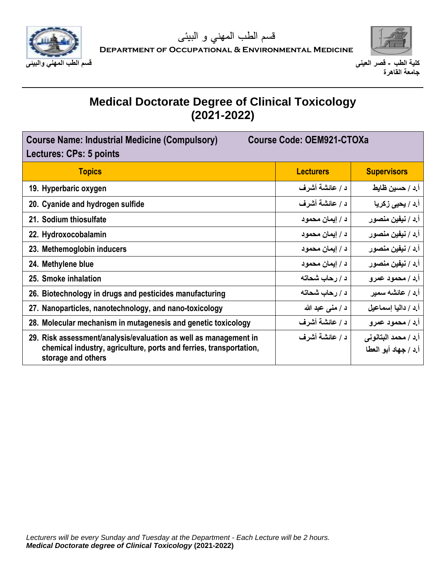



| <b>Course Code: OEM921-CTOXa</b><br><b>Course Name: Industrial Medicine (Compulsory)</b><br>Lectures: CPs: 5 points                                          |                  |                                              |
|--------------------------------------------------------------------------------------------------------------------------------------------------------------|------------------|----------------------------------------------|
| <b>Topics</b>                                                                                                                                                | <b>Lecturers</b> | <b>Supervisors</b>                           |
| 19. Hyperbaric oxygen                                                                                                                                        | د / عائشة أشرف   | أ.د / حسين ظايط                              |
| 20. Cyanide and hydrogen sulfide                                                                                                                             | د / عائشة أشرف   | أ.د / يحي <i>ى</i> زكريا                     |
| 21. Sodium thiosulfate                                                                                                                                       | د / إيمان محمود  | أ.د / نيفين منصور                            |
| 22. Hydroxocobalamin                                                                                                                                         | د / إيمان محمود  | أ.د / نيفين منصور                            |
| 23. Methemoglobin inducers                                                                                                                                   | د / إيمان محمود  | أ.د / نيفين منصور                            |
| 24. Methylene blue                                                                                                                                           | د / إيمان محمود  | أ.د / نيفين منصور                            |
| 25. Smoke inhalation                                                                                                                                         | د / رحاب شحاته   | أإذ / محمود عمرو                             |
| 26. Biotechnology in drugs and pesticides manufacturing                                                                                                      | د / رحاب شحاته   | أ د / عائشه سمير                             |
| 27. Nanoparticles, nanotechnology, and nano-toxicology                                                                                                       | د / منى عبد الله | أ د / داليا إسماعيل                          |
| 28. Molecular mechanism in mutagenesis and genetic toxicology                                                                                                | د / عائشة أشرف   | أ.د / محمود عمرو                             |
| 29. Risk assessment/analysis/evaluation as well as management in<br>chemical industry, agriculture, ports and ferries, transportation,<br>storage and others | د / عائشة أشرف   | أ.د / محمد البتانوني<br>أ.د / جهاد أبو العطا |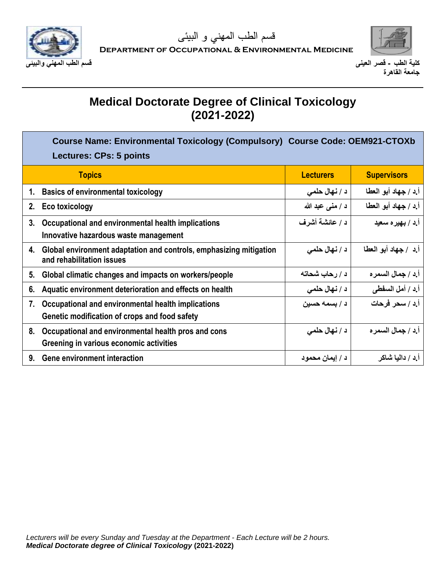



|    | Course Name: Environmental Toxicology (Compulsory) Course Code: OEM921-CTOXb<br><b>Lectures: CPs: 5 points</b> |                  |                      |
|----|----------------------------------------------------------------------------------------------------------------|------------------|----------------------|
|    | <b>Topics</b>                                                                                                  | <b>Lecturers</b> | <b>Supervisors</b>   |
|    | 1. Basics of environmental toxicology                                                                          | د / نهال حلمي    | أ.د / جهاد أبو العطا |
| 2. | <b>Eco toxicology</b>                                                                                          | د / منى عبد الله | أ.د / جهاد أبو العطا |
| 3. | Occupational and environmental health implications<br>Innovative hazardous waste management                    | د / عائشة أشرف   | أ.د / بهيره سعيد     |
| 4. | Global environment adaptation and controls, emphasizing mitigation<br>and rehabilitation issues                | د / نهال حلمي    | أ.د / جهاد أبو العطا |
| 5. | Global climatic changes and impacts on workers/people                                                          | د / رحاب شحاته   | أ.د / جمال السمر ه   |
| 6. | Aquatic environment deterioration and effects on health                                                        | د / نهال حلمي    | أ.د / أمل السفطي     |
| 7. | Occupational and environmental health implications<br>Genetic modification of crops and food safety            | د / بسمه حسين    | أ.د / سحر فرحات      |
| 8. | Occupational and environmental health pros and cons<br>Greening in various economic activities                 | د / نهال حلمي    | أ د / جمال السمر ه   |
| 9. | <b>Gene environment interaction</b>                                                                            | د / إيمان محمود  | أ د / داليا شاكر     |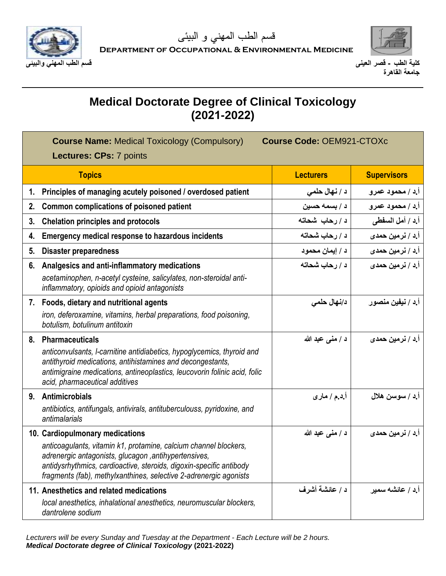



| <b>Course Name: Medical Toxicology (Compulsory)</b><br><b>Course Code: OEM921-CTOXc</b><br><b>Lectures: CPs: 7 points</b> |                                                                                                                                                                                                                                                                                                         |                   |                                  |
|---------------------------------------------------------------------------------------------------------------------------|---------------------------------------------------------------------------------------------------------------------------------------------------------------------------------------------------------------------------------------------------------------------------------------------------------|-------------------|----------------------------------|
|                                                                                                                           | <b>Topics</b>                                                                                                                                                                                                                                                                                           | <b>Lecturers</b>  | <b>Supervisors</b>               |
| 1.                                                                                                                        | Principles of managing acutely poisoned / overdosed patient                                                                                                                                                                                                                                             | د / نهال حلمي     | أإد / محمود عمرو                 |
| 2.                                                                                                                        | Common complications of poisoned patient                                                                                                                                                                                                                                                                | د / بسمه حسين     | أ.د / محمود عمرو                 |
| 3.                                                                                                                        | <b>Chelation principles and protocols</b>                                                                                                                                                                                                                                                               | د/رحاب شحاته      | أ.د / أمل السفطي                 |
| 4.                                                                                                                        | Emergency medical response to hazardous incidents                                                                                                                                                                                                                                                       | د / رحاب شحاته    | أ.د / نرمين حمدي                 |
| 5.                                                                                                                        | <b>Disaster preparedness</b>                                                                                                                                                                                                                                                                            | د / إيمان محمود   | أ.د / نرمين حمدى                 |
| 6.                                                                                                                        | Analgesics and anti-inflammatory medications<br>acetaminophen, n-acetyl cysteine, salicylates, non-steroidal anti-<br>inflammatory, opioids and opioid antagonists                                                                                                                                      | د / رحاب شحاته    | أ.د / نرمين حمدي                 |
|                                                                                                                           | 7. Foods, dietary and nutritional agents<br>iron, deferoxamine, vitamins, herbal preparations, food poisoning,<br>botulism, botulinum antitoxin                                                                                                                                                         | د/نـهال حلمى      | أ.د / نيفين منصور                |
| 8.                                                                                                                        | <b>Pharmaceuticals</b><br>anticonvulsants, I-carnitine antidiabetics, hypoglycemics, thyroid and<br>antithyroid medications, antihistamines and decongestants,<br>antimigraine medications, antineoplastics, leucovorin folinic acid, folic<br>acid, pharmaceutical additives                           | د / منبي عبد الله | أ.د / نرمي <i>ن</i> حمد <i>ی</i> |
| 9.                                                                                                                        | <b>Antimicrobials</b><br>antibiotics, antifungals, antivirals, antituberculouss, pyridoxine, and<br>antimalarials                                                                                                                                                                                       | أ.د.م / ماري      | أ.د / سوسن هلال                  |
|                                                                                                                           | 10. Cardiopulmonary medications<br>anticoagulants, vitamin k1, protamine, calcium channel blockers,<br>adrenergic antagonists, glucagon, antihypertensives,<br>antidysrhythmics, cardioactive, steroids, digoxin-specific antibody<br>fragments (fab), methylxanthines, selective 2-adrenergic agonists | د / منبي عبد الله | أ.د / نرمي <i>ن</i> حمدي         |
|                                                                                                                           | 11. Anesthetics and related medications<br>local anesthetics, inhalational anesthetics, neuromuscular blockers,<br>dantrolene sodium                                                                                                                                                                    | د / عائشة أشرف    | أ ٍد / عائشه سمير                |